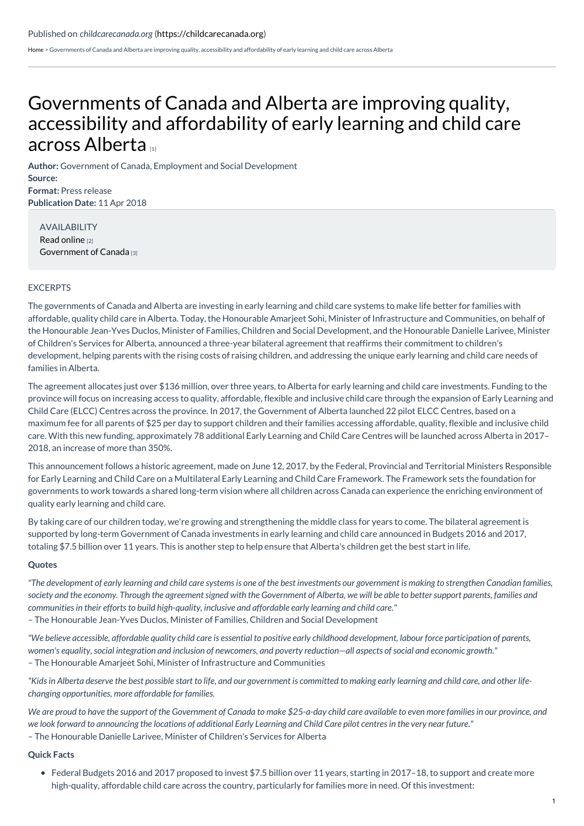[Home](https://childcarecanada.org/) > Governments of Canada and Alberta are improving quality, accessibility and affordability of early learning and child care across Alberta

## [Governments](https://childcarecanada.org/documents/child-care-news/18/04/governments-canada-and-alberta-are-improving-quality-accessibility) of Canada and Alberta are improving quality, accessibility and affordability of early learning and child care across Alberta [1]

**Author:** Government of Canada, Employment and Social Development **Source: Format:** Press release **Publication Date:** 11 Apr 2018

AVAILABILITY Read [online](https://www.newswire.ca/news-releases/governments-of-canada-and-alberta-are-improving-quality-accessibility-and-affordability-of-early-learning-and-child-care-across-alberta-679534673.html) [2] [Government](https://www.canada.ca/en/early-learning-child-care-agreement/agreements-provinces-territories/alberta.html) of Canada [3]

## EXCERPTS

The governments of Canada and Alberta are investing in early learning and child care systems to make life better for families with affordable, quality child care in Alberta. Today, the Honourable Amarjeet Sohi, Minister of Infrastructure and Communities, on behalf of the Honourable Jean-Yves Duclos, Minister of Families, Children and Social Development, and the Honourable Danielle Larivee, Minister of Children's Services for Alberta, announced a three-year bilateral agreement that reaffirms their commitment to children's development, helping parents with the rising costs of raising children, and addressing the unique early learning and child care needs of families in Alberta.

The agreement allocates just over \$136 million, over three years, to Alberta for early learning and child care investments. Funding to the province will focus on increasing access to quality, affordable, flexible and inclusive child care through the expansion of Early Learning and Child Care (ELCC) Centres across the province. In 2017, the Government of Alberta launched 22 pilot ELCC Centres, based on a maximum fee for all parents of \$25 per day to support children and their families accessing affordable, quality, flexible and inclusive child care. With this new funding, approximately 78 additional Early Learning and Child Care Centres will be launched across Alberta in 2017– 2018, an increase of more than 350%.

This announcement follows a historic agreement, made on June 12, 2017, by the Federal, Provincial and Territorial Ministers Responsible for Early Learning and Child Care on a Multilateral Early Learning and Child Care Framework. The Framework sets the foundation for governments to work towards a shared long-term vision where all children across Canada can experience the enriching environment of quality early learning and child care.

By taking care of our children today, we're growing and strengthening the middle class for years to come. The bilateral agreement is supported by long-term Government of Canada investments in early learning and child care announced in Budgets 2016 and 2017, totaling \$7.5 billion over 11 years. This is another step to help ensure that Alberta's children get the best start in life.

## **Quotes**

"The development of early learning and child care systems is one of the best investments our government is making to strengthen Canadian families, society and the economy. Through the agreement signed with the Government of Alberta, we will be able to better support parents, families and *communities in their efforts to build high-quality, inclusive and affordable early learning and child care."*

– The Honourable Jean-Yves Duclos, Minister of Families, Children and Social Development

"We believe accessible, affordable quality child care is essential to positive early childhood development, labour force participation of parents, women's equality, social integration and inclusion of newcomers, and poverty reduction-all aspects of social and economic growth." – The Honourable Amarjeet Sohi, Minister of Infrastructure and Communities

"Kids in Alberta deserve the best possible start to life, and our government is committed to making early learning and child care, and other life*changing opportunities, more affordable for families.*

We are proud to have the support of the Government of Canada to make \$25-a-day child care available to even more families in our province, and we look forward to announcing the locations of additional Early Learning and Child Care pilot centres in the very near future." – The Honourable Danielle Larivee, Minister of Children's Services for Alberta

## **Quick Facts**

Federal Budgets 2016 and 2017 proposed to invest \$7.5 billion over 11 years, starting in 2017–18, to support and create more high-quality, affordable child care across the country, particularly for families more in need. Of this investment: